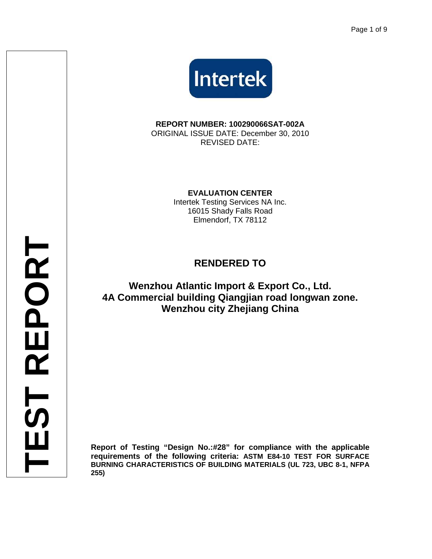

**REPORT NUMBER: 100290066SAT-002A**  ORIGINAL ISSUE DATE: December 30, 2010 REVISED DATE:

**EVALUATION CENTER** 

Intertek Testing Services NA Inc. 16015 Shady Falls Road Elmendorf, TX 78112

# **RENDERED TO**

## **Wenzhou Atlantic Import & Export Co., Ltd. 4A Commercial building Qiangjian road longwan zone. Wenzhou city Zhejiang China**

**Report of Testing "Design No.:#28" for compliance with the applicable requirements of the following criteria: ASTM E84-10 TEST FOR SURFACE BURNING CHARACTERISTICS OF BUILDING MATERIALS (UL 723, UBC 8-1, NFPA 255)**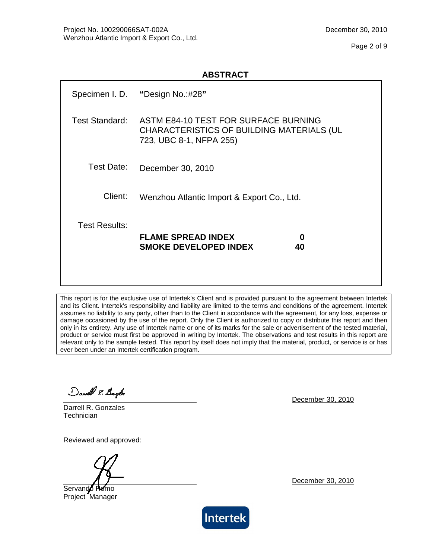Page 2 of 9

|                       | Specimen I. D. "Design No.:#28"                                                                              |
|-----------------------|--------------------------------------------------------------------------------------------------------------|
| <b>Test Standard:</b> | ASTM E84-10 TEST FOR SURFACE BURNING<br>CHARACTERISTICS OF BUILDING MATERIALS (UL<br>723, UBC 8-1, NFPA 255) |
| Test Date:            | December 30, 2010                                                                                            |
| Client:               | Wenzhou Atlantic Import & Export Co., Ltd.                                                                   |
| <b>Test Results:</b>  | <b>FLAME SPREAD INDEX</b><br>0<br><b>SMOKE DEVELOPED INDEX</b><br>40                                         |

This report is for the exclusive use of Intertek's Client and is provided pursuant to the agreement between Intertek and its Client. Intertek's responsibility and liability are limited to the terms and conditions of the agreement. Intertek assumes no liability to any party, other than to the Client in accordance with the agreement, for any loss, expense or damage occasioned by the use of the report. Only the Client is authorized to copy or distribute this report and then only in its entirety. Any use of Intertek name or one of its marks for the sale or advertisement of the tested material, product or service must first be approved in writing by Intertek. The observations and test results in this report are relevant only to the sample tested. This report by itself does not imply that the material, product, or service is or has ever been under an Intertek certification program.

David R. Boylo

Darrell R. Gonzales **Technician** 

Reviewed and approved:

Servando Romo Project Manager

December 30, 2010

December 30, 2010

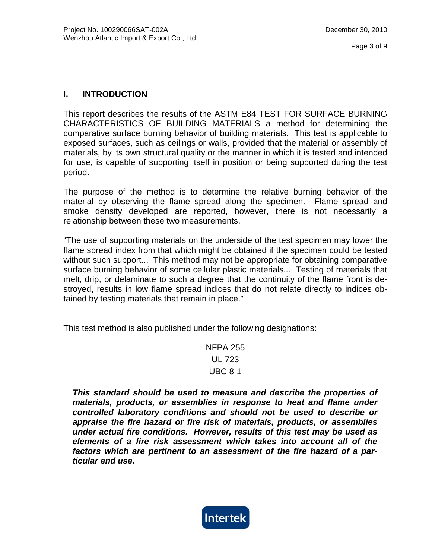### **I. INTRODUCTION**

This report describes the results of the ASTM E84 TEST FOR SURFACE BURNING CHARACTERISTICS OF BUILDING MATERIALS a method for determining the comparative surface burning behavior of building materials. This test is applicable to exposed surfaces, such as ceilings or walls, provided that the material or assembly of materials, by its own structural quality or the manner in which it is tested and intended for use, is capable of supporting itself in position or being supported during the test period.

The purpose of the method is to determine the relative burning behavior of the material by observing the flame spread along the specimen. Flame spread and smoke density developed are reported, however, there is not necessarily a relationship between these two measurements.

"The use of supporting materials on the underside of the test specimen may lower the flame spread index from that which might be obtained if the specimen could be tested without such support... This method may not be appropriate for obtaining comparative surface burning behavior of some cellular plastic materials... Testing of materials that melt, drip, or delaminate to such a degree that the continuity of the flame front is destroyed, results in low flame spread indices that do not relate directly to indices obtained by testing materials that remain in place."

This test method is also published under the following designations:

NFPA 255 UL 723 UBC 8-1

**This standard should be used to measure and describe the properties of materials, products, or assemblies in response to heat and flame under controlled laboratory conditions and should not be used to describe or appraise the fire hazard or fire risk of materials, products, or assemblies under actual fire conditions. However, results of this test may be used as elements of a fire risk assessment which takes into account all of the factors which are pertinent to an assessment of the fire hazard of a particular end use.** 

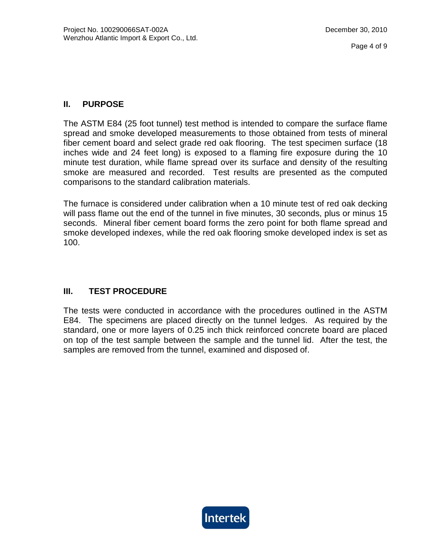### **II. PURPOSE**

The ASTM E84 (25 foot tunnel) test method is intended to compare the surface flame spread and smoke developed measurements to those obtained from tests of mineral fiber cement board and select grade red oak flooring. The test specimen surface (18 inches wide and 24 feet long) is exposed to a flaming fire exposure during the 10 minute test duration, while flame spread over its surface and density of the resulting smoke are measured and recorded. Test results are presented as the computed comparisons to the standard calibration materials.

The furnace is considered under calibration when a 10 minute test of red oak decking will pass flame out the end of the tunnel in five minutes, 30 seconds, plus or minus 15 seconds. Mineral fiber cement board forms the zero point for both flame spread and smoke developed indexes, while the red oak flooring smoke developed index is set as 100.

## **III. TEST PROCEDURE**

The tests were conducted in accordance with the procedures outlined in the ASTM E84. The specimens are placed directly on the tunnel ledges. As required by the standard, one or more layers of 0.25 inch thick reinforced concrete board are placed on top of the test sample between the sample and the tunnel lid. After the test, the samples are removed from the tunnel, examined and disposed of.

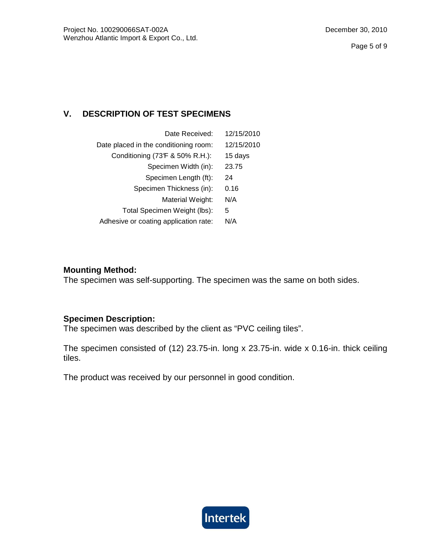## **V. DESCRIPTION OF TEST SPECIMENS**

| Date Received:                        | 12/15/2010 |
|---------------------------------------|------------|
| Date placed in the conditioning room: | 12/15/2010 |
| Conditioning (73F & 50% R.H.):        | 15 days    |
| Specimen Width (in):                  | 23.75      |
| Specimen Length (ft):                 | 24         |
| Specimen Thickness (in):              | 0.16       |
| Material Weight:                      | N/A        |
| Total Specimen Weight (lbs):          | 5          |
| Adhesive or coating application rate: | N/A        |
|                                       |            |

### **Mounting Method:**

The specimen was self-supporting. The specimen was the same on both sides.

#### **Specimen Description:**

The specimen was described by the client as "PVC ceiling tiles".

The specimen consisted of (12) 23.75-in. long x 23.75-in. wide x 0.16-in. thick ceiling tiles.

The product was received by our personnel in good condition.

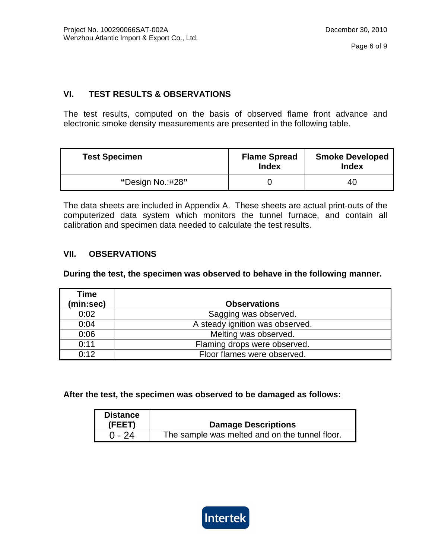## **VI. TEST RESULTS & OBSERVATIONS**

The test results, computed on the basis of observed flame front advance and electronic smoke density measurements are presented in the following table.

| <b>Test Specimen</b> | <b>Flame Spread</b><br><b>Index</b> | <b>Smoke Developed</b><br>Index |
|----------------------|-------------------------------------|---------------------------------|
| "Design No.:#28"     |                                     | 40                              |

The data sheets are included in Appendix A. These sheets are actual print-outs of the computerized data system which monitors the tunnel furnace, and contain all calibration and specimen data needed to calculate the test results.

### **VII. OBSERVATIONS**

**During the test, the specimen was observed to behave in the following manner.** 

| Time<br>(min:sec) | <b>Observations</b>             |
|-------------------|---------------------------------|
| 0:02              | Sagging was observed.           |
| 0:04              | A steady ignition was observed. |
| 0:06              | Melting was observed.           |
| 0:11              | Flaming drops were observed.    |
| 0:12              | Floor flames were observed.     |

**After the test, the specimen was observed to be damaged as follows:** 

| <b>Distance</b> |                                                |
|-----------------|------------------------------------------------|
| (FEET)          | <b>Damage Descriptions</b>                     |
| $0 - 24$        | The sample was melted and on the tunnel floor. |

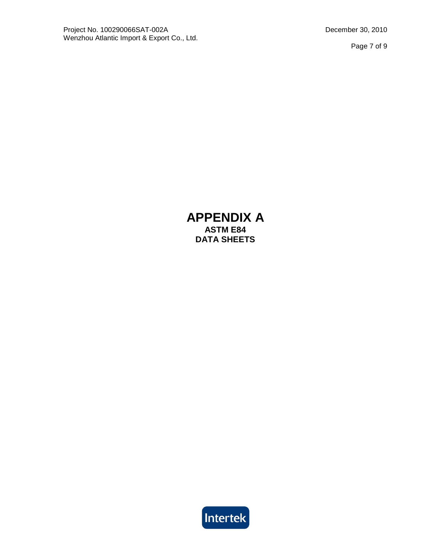## **APPENDIX A ASTM E84 DATA SHEETS**

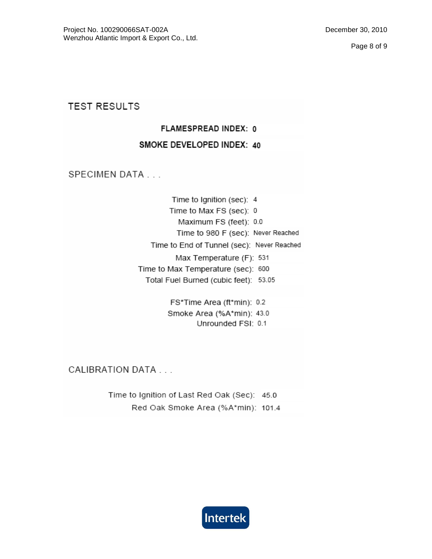**TEST RESULTS** 

## FLAMESPREAD INDEX: 0

### SMOKE DEVELOPED INDEX: 40

SPECIMEN DATA . . .

Time to Ignition (sec): 4 Time to Max FS (sec): 0 Maximum FS (feet): 0.0 Time to 980 F (sec): Never Reached Time to End of Tunnel (sec): Never Reached Max Temperature (F): 531 Time to Max Temperature (sec): 600 Total Fuel Burned (cubic feet): 53.05

> FS\*Time Area (ft\*min): 0.2 Smoke Area (%A\*min): 43.0 Unrounded FSI: 0.1

CALIBRATION DATA . . .

Time to Ignition of Last Red Oak (Sec): 45.0 Red Oak Smoke Area (%A\*min): 101.4